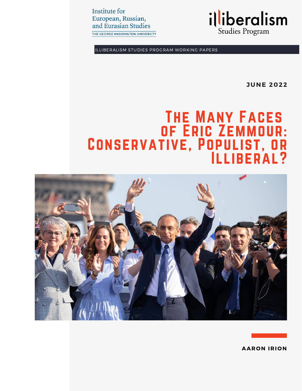**Institute for** European, Russian, and Eurasian Studies

THE GEORGE WASHINGTON UNIVERSITY



ILLIBERALISM STUDIES PROGRAM WORKING PAPERS

**JUNE 2022**

# The Many Faces of Eric Zemmour: Conservative, Populist, or Illiberal?



**AAR O N IRI O N**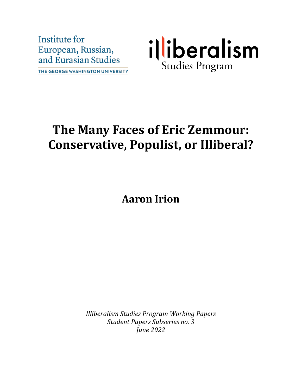Institute for European, Russian, and Eurasian Studies THE GEORGE WASHINGTON UNIVERSITY



# **The Many Faces of Eric Zemmour: Conservative, Populist, or Illiberal?**

**Aaron Irion**

*Illiberalism Studies Program Working Papers Student Papers Subseries no. 3 June 2022*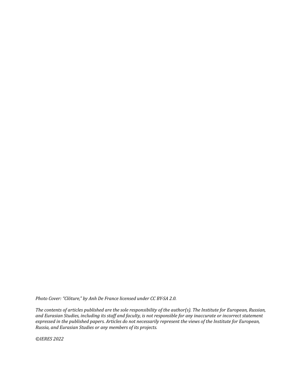*Photo Cover: "Clôture," by Anh De France licensed under CC BY-SA 2.0.*

*The contents of articles published are the sole responsibility of the author(s). The Institute for European, Russian, and Eurasian Studies, including its staff and faculty, is not responsible for any inaccurate or incorrect statement expressed in the published papers. Articles do not necessarily represent the views of the Institute for European, Russia, and Eurasian Studies or any members of its projects.*

*©IERES 2022*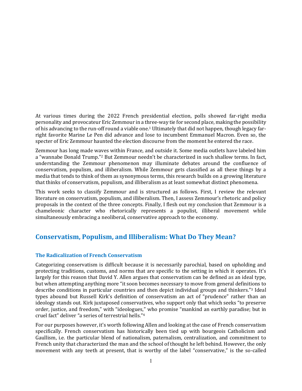At various times during the 2022 French presidential election, polls showed far-right media personality and provocateur Eric Zemmour in a three-way tie for second place, making the possibility of his advancing to the run-off round a viable one.<sup>1</sup> Ultimately that did not happen, though legacy farright favorite Marine Le Pen did advance and lose to incumbent Emmanuel Macron. Even so, the specter of Eric Zemmour haunted the election discourse from the moment he entered the race.

Zemmour has long made waves within France, and outside it. Some media outlets have labeled him a "wannabe Donald Trump."<sup>2</sup> But Zemmour needn't be characterized in such shallow terms. In fact, understanding the Zemmour phenomenon may illuminate debates around the confluence of conservatism, populism, and illiberalism. While Zemmour gets classified as all these things by a media that tends to think of them as synonymous terms, this research builds on a growing literature that thinks of conservatism, populism, and illiberalism as at least somewhat distinct phenomena.

This work seeks to classify Zemmour and is structured as follows. First, I review the relevant literature on conservatism, populism, and illiberalism. Then, I assess Zemmour's rhetoric and policy proposals in the context of the three concepts. Finally, I flesh out my conclusion that Zemmour is a chameleonic character who rhetorically represents a populist, illiberal movement while simultaneously embracing a neoliberal, conservative approach to the economy.

## **Conservatism, Populism, and Illiberalism: What Do They Mean?**

### **The Radicalization of French Conservatism**

Categorizing conservatism is difficult because it is necessarily parochial, based on upholding and protecting traditions, customs, and norms that are specific to the setting in which it operates. It's largely for this reason that David Y. Allen argues that conservatism can be defined as an ideal type, but when attempting anything more "it soon becomes necessary to move from general definitions to describe conditions in particular countries and then depict individual groups and thinkers."<sup>3</sup> Ideal types abound but Russell Kirk's definition of conservatism an act of "prudence" rather than an ideology stands out. Kirk juxtaposed conservatives, who support only that which seeks "to preserve order, justice, and freedom," with "ideologues," who promise "mankind an earthly paradise; but in cruel fact" deliver "a series of terrestrial hells."<sup>4</sup>

For our purposes however, it's worth following Allen and looking at the case of French conservatism specifically. French conservatism has historically been tied up with bourgeois Catholicism and Gaullism, i.e. the particular blend of nationalism, paternalism, centralization, and commitment to French unity that characterized the man and the school of thought he left behind. However, the only movement with any teeth at present, that is worthy of the label "conservative," is the so-called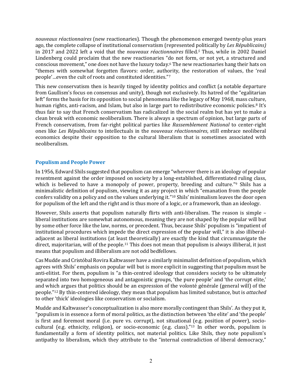*nouveaux réactionnaires* (new reactionaries)*.* Though the phenomenon emerged twenty-plus years ago, the complete collapse of institutional conservatism (represented politically by *Les Républicains)* in 2017 and 2022 left a void that the *nouveaux réactionnaires* filled*. <sup>5</sup>* Thus, while in 2002 Daniel Lindenberg could proclaim that the new reactionaries "do not form, or not yet, a structured and conscious movement," one does not have the luxury today.<sup>6</sup> The new reactionaries hang their hats on "themes with somewhat forgotten flavors: order, authority, the restoration of values, the 'real people'…even the cult of roots and constituted identities."<sup>7</sup>

This new conservatism then is heavily tinged by identity politics and conflict (a notable departure from Gaullism's focus on consensus and unity), though not exclusively. Its hatred of the "egalitarian left" forms the basis for its opposition to social phenomena like the legacy of May 1968, mass culture, human rights, anti-racism, and Islam, but also in large part to redistributive economic policies.<sup>8</sup> It's thus fair to say that French conservatism has radicalized in the social realm but has yet to make a clean break with economic neoliberalism. There is always a spectrum of opinion, but large parts of French conservatism, from far-right political parties like *Rassemblement National* to center-right ones like *Les Républicains* to intellectuals in the *nouveaux réactionnaires*, still embrace neoliberal economics despite their opposition to the cultural liberalism that is sometimes associated with neoliberalism.

#### **Populism and People Power**

In 1956, Edward Shils suggested that populism can emerge "wherever there is an ideology of popular resentment against the order imposed on society by a long-established, differentiated ruling class, which is believed to have a monopoly of power, property, breeding and culture."<sup>9</sup> Shils has a minimalistic definition of populism, viewing it as any project in which "emanation from the people confers validity on a policy and on the values underlying it."<sup>10</sup> Shils' minimalism leaves the door open for populism of the left and the right and is thus more of a logic, or a framework, than an ideology.

However, Shils asserts that populism naturally flirts with anti-liberalism. The reason is simple – liberal institutions are somewhat autonomous, meaning they are not shaped by the popular will but by some other force like the law, norms, or precedent. Thus, because Shils' populism is "impatient of institutional procedures which impede the direct expression of the popular will," it is also illiberaladjacent as liberal institutions (at least theoretically) are exactly the kind that circumnavigate the direct, majoritarian, will of the people.<sup>11</sup> This does not mean that populism is always illiberal, it just means that populism and illiberalism are not odd bedfellows.

Cas Mudde and Cristóbal Rovira Kaltwasser have a similarly minimalist definition of populism, which agrees with Shils' emphasis on popular will but is more explicit in suggesting that populism must be anti-elitist. For them, populism is "a thin-centred ideology that considers society to be ultimately separated into two homogeneous and antagonistic groups, 'the pure people' and 'the corrupt elite,' and which argues that politics should be an expression of the volonté générale (general will) of the people."<sup>12</sup> By thin-centered ideology, they mean that populism has limited substance, but is *attached* to other 'thick' ideologies like conservatism or socialism.

Mudde and Kaltwasser's conceptualization is also more morally contingent than Shils'. As they put it, "populism is in essence a form of moral politics, as the distinction between 'the elite' and 'the people' is first and foremost moral (i.e. pure vs. corrupt), not situational (e.g. position of power), sociocultural (e.g. ethnicity, religion), or socio-economic (e.g. class)."<sup>13</sup> In other words, populism is fundamentally a form of identity politics, not material politics. Like Shils, they note populism's antipathy to liberalism, which they attribute to the "internal contradiction of liberal democracy,"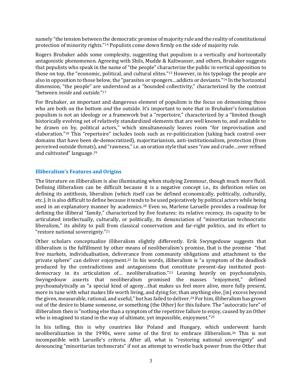namely "the tension between the democratic promise of majority rule and the reality of constitutional protection of minority rights."<sup>14</sup> Populists come down firmly on the side of majority rule.

Rogers Brubaker adds some complexity, suggesting that populism is a vertically *and* horizontally antagonistic phenomenon. Agreeing with Shils, Mudde & Kaltwasser, and others, Brubaker suggests that populists who speak in the name of "the people" characterize the public in vertical opposition to those on top, the "economic, political, and cultural elites."<sup>15</sup> However, in his typology the people are also in opposition to those below, the "parasites or spongers…addicts or deviants."<sup>16</sup> In the horizontal dimension, "the people" are understood as a "bounded collectivity," characterized by the contrast "between *inside* and *outside*."<sup>17</sup>

For Brubaker, an important and dangerous element of populism is the focus on demonizing those who are both on the bottom *and* the outside. It's important to note that in Brubaker's formulation populism is not an ideology or a framework but a "repertoire," characterized by a "limited though historically evolving set of relatively standardized elements that are well known to, and available to be drawn on by, political actors," which simultaneously leaves room "for improvisation and elaboration."<sup>18</sup> This "repertoire" includes tools such as re-politicization (taking back control over domains that have been de-democratized), majoritarianism, anti-institutionalism, protection (from perceived outside threats), and "rawness," i.e. an oration style that uses "raw and crude…over refined and cultivated" language.<sup>19</sup>

#### **Illiberalism's Features and Origins**

The literature on illiberalism is also illuminating when studying Zemmour, though much more fluid. Defining illiberalism can be difficult because it is a negative concept i.e., its definition relies on defining its antithesis, liberalism (which itself can be defined economically, politically, culturally, etc.). It is also difficult to define because it tends to be used pejoratively by political actors while being used in an explanatory manner by academics.<sup>20</sup> Even so, Marlene Laruelle provides a roadmap for defining the illiberal "family," characterized by five features: its relative recency, its capacity to be articulated intellectually, culturally, or politically, its denunciation of "minoritarian technocratic liberalism," its ability to pull from classical conservatism and far-right politics, and its effort to "restore national sovereignty."<sup>21</sup>

Other scholars conceptualize illiberalism slightly differently. Erik Swyngedouw suggests that illiberalism is the fulfillment by other means of neoliberalism's promise, that is the promise "that free markets, individualisation, deliverance from community obligations and attachment to the private sphere" can deliver enjoyment.<sup>22</sup> In his words, illiberalism is "a symptom of the deadlock produced by the contradictions and antagonisms that constitute present-day instituted postdemocracy in its articulation of… neoliberalisation."<sup>23</sup> Leaning heavily on psychoanalysis, Swyngedouw asserts that neoliberalism promised the masses "enjoyment," defined psychoanalytically as "a special kind of agony…that makes us feel more alive, more fully present, more in tune with what makes life worth living, and dying for, than anything else, [in] excess beyond the given, measurable, rational, and useful," but has failed to deliver.<sup>24</sup> For him, illiberalism has grown out of the desire to blame someone, or something (the Other) for this failure. The "autocratic lure" of illiberalism then is "nothing else than a symptom of the repetitive failure to enjoy, caused by an Other who is imagined to stand in the way of ultimate, yet impossible, enjoyment."<sup>25</sup>

In his telling, this is why countries like Poland and Hungary, which underwent harsh neoliberalization in the 1990s, were some of the first to embrace illiberalism.<sup>26</sup> This is not incompatible with Laruelle's criteria. After all, what is "restoring national sovereignty" and denouncing "minoritarian technocrats" if not an attempt to wrestle back power from the Other that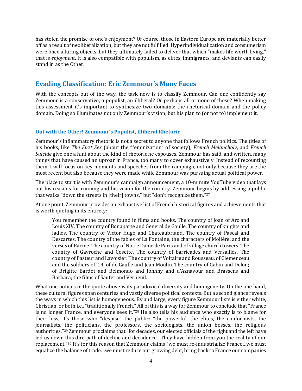has stolen the promise of one's enjoyment? Of course, those in Eastern Europe are materially better off as a result of neoliberalization, but they are not fulfilled. Hyperindividualization and consumerism were once alluring objects, but they ultimately failed to deliver that which "makes life worth living," that is *enjoyment*. It is also compatible with populism, as elites, immigrants, and deviants can easily stand in as the Other.

## **Evading Classification: Eric Zemmour's Many Faces**

With the concepts out of the way, the task now is to classify Zemmour. Can one confidently say Zemmour is a conservative, a populist, an illiberal? Or perhaps all or none of these? When making this assessment it's important to synthesize two domains: the rhetorical domain and the policy domain. Doing so illuminates not only Zemmour's vision, but his plan to (or not to) implement it.

### **Out with the Other! Zemmour's Populist, Illiberal Rhetoric**

Zemmour's inflammatory rhetoric is not a secret to anyone that follows French politics. The titles of his books, like *The First Sex* (about the "feminization" of society), *French Melancholy*, and *French Suicide* give one a hint about the kind of rhetoric he espouses. Zemmour has said, and written, many things that have caused an uproar in France, too many to cover exhaustively. Instead of recounting them, I will focus on key moments and speeches from the campaign, not only because they are the most recent but also because they were made while Zemmour was pursuing actual political power.

The place to start is with Zemmour's campaign announcement, a 10-minute YouTube video that lays out his reasons for running and his vision for the country. Zemmour begins by addressing a public that walks "down the streets in [their] towns," but "don't recognize them."<sup>27</sup>

At one point, Zemmour provides an exhaustive list of French historical figures and achievements that is worth quoting in its entirety:

You remember the country found in films and books. The country of Joan of Arc and Louis XIV. The country of Bonaparte and General de Gaulle. The country of knights and ladies. The country of Victor Hugo and Chateaubriand. The country of Pascal and Descartes. The country of the fables of La Fontaine, the characters of Molière, and the verses of Racine. The country of Notre Dame de Paris and of village church towers. The country of Gavroche and Cosette. The country of barricades and Versailles. The country of Pasteur and Lavoisier. The country of Voltaire and Rousseau, of Clemenceau and the soldiers of '14, of de Gaulle and Jean Moulin. The country of Gabin and Delon; of Brigitte Bardot and Belmondo and Johnny and d'Aznavour and Brassens and Barbara; the films of Sautet and Verneuil.

What one notices in the quote above is its paradoxical diversity and homogeneity. On the one hand, these cultural figures span centuries and vastly diverse political contexts. But a second glance reveals the ways in which this list is homogeneous. By and large, every figure Zemmour lists is either white, Christian, or both i.e., "traditionally French." All of this is a way for Zemmour to conclude that "France is no longer France, and everyone sees it."<sup>28</sup> He also tells his audience who exactly is to blame for their loss, it's those who "despise" the public: "the powerful, the elites, the conformists, the journalists, the politicians, the professors, the sociologists, the union bosses, the religious authorities."<sup>29</sup> Zemmour proclaims that "for decades, our elected officials of the right and the left have led us down this dire path of decline and decadence…They have hidden from you the reality of our replacement."<sup>30</sup> It's for this reason that Zemmour claims "we must re-industrialize France…we must equalize the balance of trade…we must reduce our growing debt, bring back to France our companies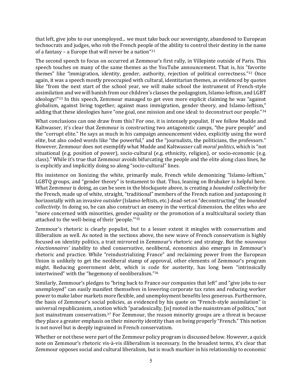that left, give jobs to our unemployed... we must take back our sovereignty, abandoned to European technocrats and judges, who rob the French people of the ability to control their destiny in the name of a fantasy – a Europe that will never be a nation" $31$ 

The second speech to focus on occurred at Zemmour's first rally, in Villepinte outside of Paris. This speech touches on many of the same themes as the YouTube announcement. That is, his "favorite themes" like "immigration, identity, gender, authority, rejection of political correctness."<sup>32</sup> Once again, it was a speech mostly preoccupied with cultural, identitarian themes, as evidenced by quotes like "from the next start of the school year, we will make school the instrument of French-style assimilation and we will banish from our children's classes the pedagogism, Islamo-leftism, and LGBT ideology!"<sup>33</sup> In this speech, Zemmour managed to get even more explicit claiming he was "against globalism, against living together, against mass immigration, gender theory, and Islamo-leftism," adding that these ideologies have "one goal, one mission and one ideal: to deconstruct our people."<sup>34</sup>

What conclusions can one draw from this? For one, it is intensely populist. If we follow Mudde and Kaltwasser, it's clear that Zemmour is constructing two antagonistic camps, "the pure people" and the "corrupt elite." He says as much in his campaign announcement video, explicitly using the word elite, but also coded words like "the powerful," and the "journalists, the politicians, the professors." However, Zemmour does not exemplify what Mudde and Kaltwasser call *moral politics*, which is "not situational (e.g. position of power), socio-cultural (e.g. ethnicity, religion), or socio-economic (e.g. class)." While it's true that Zemmour avoids bifurcating the people and the elite along class lines, he is explicitly and implicitly doing so along "socio-cultural" lines.

His insistence on lionizing the white, primarily male, French while demonizing "Islamo-leftism," LGBTQ groups, and "gender theory" is testament to that. Thus, leaning on Brubaker is helpful here. What Zemmour is doing, as can be seen in the blockquote above, is creating a *bounded collectivity* for the French, made up of white, straight, "traditional" members of the French nation and juxtaposing it horizontally with an invasive *outsider* (Islamo-leftists, etc.) dead-set on "deconstructing" the *bounded collectivity*. In doing so, he can also construct an enemy in the vertical dimension, the elites who are "more concerned with minorities, gender equality or the promotion of a multicultural society than attached to the well-being of their 'people.'"<sup>35</sup>

Zemmour's rhetoric is clearly populist, but to a lesser extent it mingles with conservatism and illiberalism as well. As noted in the sections above, the new wave of French conservatism is highly focused on identity politics, a trait mirrored in Zemmour's rhetoric and strategy. But the *nouveaux réactionnaires'* inability to shed conservative, neoliberal, economics also emerges in Zemmour's rhetoric and practice. While "reindustrializing France" and reclaiming power from the European Union is unlikely to get the neoliberal stamp of approval, other elements of Zemmour's program might. Reducing government debt, which is code for austerity, has long been "intrinsically intertwined" with the "hegemony of neoliberalism."<sup>36</sup>

Similarly, Zemmour's pledges to "bring back to France our companies that left" and "give jobs to our unemployed" can easily manifest themselves in lowering corporate tax rates and reducing worker power to make labor markets more flexible, and unemployment benefits less generous. Furthermore, the basis of Zemmour's social policies, as evidenced by his quote on "French-style assimilation" is universal republicanism, a notion which "paradoxically, [is] rooted in the mainstream of politics," not just mainstream conservatism.<sup>37</sup> For Zemmour, the reason minority groups are a threat is because they place a greater emphasis on their minority identity than on being properly "French." This notion is not novel but is deeply ingrained in French conservatism.

Whether or not these were part of the Zemmour policy program is discussed below. However, a quick note on Zemmour's rhetoric vis-à-vis illiberalism is necessary. In the broadest terms, it's clear that Zemmour opposes social and cultural liberalism, but is much murkier in his relationship to economic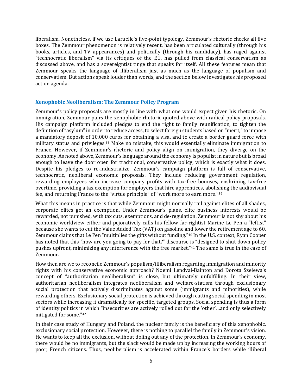liberalism. Nonetheless, if we use Laruelle's five-point typology, Zemmour's rhetoric checks all five boxes. The Zemmour phenomenon is relatively recent, has been articulated culturally (through his books, articles, and TV appearances) and politically (through his candidacy), has raged against "technocratic liberalism" via its critiques of the EU, has pulled from classical conservatism as discussed above, and has a sovereigntist tinge that speaks for itself. All these features mean that Zemmour speaks the language of illiberalism just as much as the language of populism and conservatism. But actions speak louder than words, and the section below investigates his proposed action agenda.

#### **Xenophobic Neoliberalism: The Zemmour Policy Program**

Zemmour's policy proposals are mostly in line with what one would expect given his rhetoric. On immigration, Zemmour pairs the xenophobic rhetoric quoted above with radical policy proposals. His campaign platform included pledges to end the right to family reunification, to tighten the definition of "asylum" in order to reduce access, to select foreign students based on "merit," to impose a mandatory deposit of 10,000 euros for obtaining a visa, and to create a border guard force with military status and privileges.<sup>38</sup> Make no mistake, this would essentially eliminate immigration to France. However, if Zemmour's rhetoric and policy align on immigration, they diverge on the economy. As noted above, Zemmour's language around the economy is populist in nature but is broad enough to leave the door open for traditional, conservative policy, which is exactly what it does. Despite his pledges to re-industrialize, Zemmour's campaign platform is full of conservative, technocratic, neoliberal economic proposals. They include reducing government regulation, rewarding employees who increase company profits with tax-free bonuses, enshrining tax-free overtime, providing a tax exemption for employers that hire apprentices, abolishing the audiovisual fee, and returning France to the "virtue principle" of "work more to earn more."<sup>39</sup>

What this means in practice is that while Zemmour might normally rail against elites of all shades, corporate elites get an exemption. Under Zemmour's plans, elite business interests would be rewarded, not punished, with tax cuts, exemptions, and de-regulation. Zemmour is not shy about his economic worldview either and pejoratively calls his fellow far-rightist Marine Le Pen a "leftist" because she wants to cut the Value Added Tax (VAT) on gasoline and lower the retirement age to 60. Zemmour claims that Le Pen "multiplies the gifts without funding."<sup>40</sup> In the U.S. context, Ryan Cooper has noted that this "how are you going to pay for that?" discourse is "designed to shut down policy pushes upfront, minimizing any interference with the free market."<sup>41</sup> The same is true in the case of Zemmour.

How then are we to reconcile Zemmour's populism/illiberalism regarding immigration and minority rights with his conservative economic approach? Noemi Lendvai‐Bainton and Dorota Szelewa's concept of "authoritarian neoliberalism" is close, but ultimately unfulfilling. In their view, authoritarian neoliberalism integrates neoliberalism and welfare-statism through exclusionary social protection that actively discriminates against some (immigrants and minorities), while rewarding others. Exclusionary social protection is achieved through cutting social spending in most sectors while increasing it dramatically for specific, targeted groups. Social spending is thus a form of identity politics in which "insecurities are actively rolled out for the 'other'…and only selectively mitigated for some."<sup>42</sup>

In their case study of Hungary and Poland, the nuclear family is the beneficiary of this xenophobic, exclusionary social protection. However, there is nothing to parallel the family in Zemmour's vision. He wants to keep all the exclusion, without doling out any of the protection. In Zemmour's economy, there would be no immigrants, but the slack would be made up by increasing the working hours of poor, French citizens. Thus, neoliberalism is accelerated within France's borders while illiberal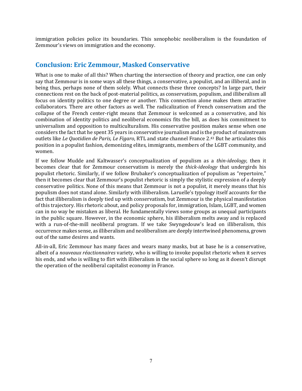immigration policies police its boundaries. This xenophobic neoliberalism is the foundation of Zemmour's views on immigration and the economy.

## **Conclusion: Eric Zemmour, Masked Conservative**

What is one to make of all this? When charting the intersection of theory and practice, one can only say that Zemmour is in some ways all these things, a conservative, a populist, and an illiberal, and in being thus, perhaps none of them solely. What connects these three concepts? In large part, their connections rest on the back of post-material politics, as conservatism, populism, and illiberalism all focus on identity politics to one degree or another. This connection alone makes them attractive collaborators. There are other factors as well. The radicalization of French conservatism and the collapse of the French center-right means that Zemmour is welcomed as a conservative, and his combination of identity politics and neoliberal economics fits the bill, as does his commitment to universalism and opposition to multiculturalism. His conservative position makes sense when one considers the fact that he spent 35 years in conservative journalism and is the product of mainstream outlets like *Le Quotidien de Paris, Le Figaro*, RTL and state channel France 2.<sup>43</sup> But he articulates this position in a populist fashion, demonizing elites, immigrants, members of the LGBT community, and women.

If we follow Mudde and Kaltwasser's conceptualization of populism as a *thin-ideology,* then it becomes clear that for Zemmour conservatism is merely the *thick-ideology* that undergirds his populist rhetoric. Similarly, if we follow Brubaker's conceptualization of populism as "repertoire," then it becomes clear that Zemmour's populist rhetoric is simply the stylistic expression of a deeply conservative politics. None of this means that Zemmour is not a populist, it merely means that his populism does not stand alone. Similarly with illiberalism. Laruelle's typology itself accounts for the fact that illiberalism is deeply tied up with conservatism, but Zemmour is the physical manifestation of this trajectory. His rhetoric about, and policy proposals for, immigration, Islam, LGBT, and women can in no way be mistaken as liberal. He fundamentally views some groups as unequal participants in the public square. However, in the economic sphere, his illiberalism melts away and is replaced with a run-of-the-mill neoliberal program. If we take Swyngedouw's lead on illiberalism, this occurrence makes sense, as illiberalism and neoliberalism are deeply intertwined phenomena, grown out of the same desires and wants.

All-in-all, Eric Zemmour has many faces and wears many masks, but at base he is a conservative, albeit of a *nouveaux réactionnaires* variety, who is willing to invoke populist rhetoric when it serves his ends, and who is willing to flirt with illiberalism in the social sphere so long as it doesn't disrupt the operation of the neoliberal capitalist economy in France.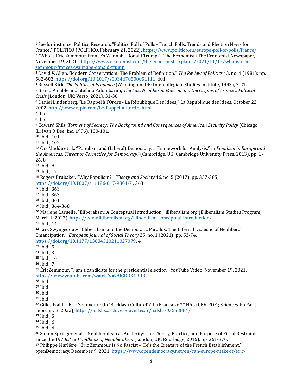<sup>6</sup> Daniel Lindenberg, "Le Rappel à l'Ordre - La République Des Idées," La Republique des Idees, October 22, [, http://www.repid.com/Le‐Rappel‐a‐l‐ordre.html.](http://www.repid.com/Le-Rappel-a-l-ordre.html) 

Ibid.

Ibid.

l

 Edward Shils, *Torment of Secrecy: The Background and Consequences of American Security Policy* (Chicago , IL: Ivan R Dee, Inc, 1996), 100‐101.

Ibid., 101

Ibid., 102

 Cas Mudde et al., "Populism and (Liberal) Democracy: a Framework for Analysis," in *Populism in Europe and the Americas: Threat or Corrective for Democracy?* (Cambridge, UK: Cambridge University Press, 2013), pp. 1‐ 26, 8.

Ibid., 8

Ibid., 17

 Rogers Brubaker, "Why Populism?," *Theory and Society* 46, no. 5 (2017): pp. 357‐385, [https://doi.org/10.1007/s11186‐017‐9301‐7](https://doi.org/10.1007/s11186-017-9301-7) , 363.

Ibid., 363

Ibid., 363

Ibid., 361

Ibid., 364‐368

 Marlene Laruelle, "Illiberalism: A Conceptual Introduction," illiberalism.org (Illiberalism Studies Program, March 1, 2022), https://www.illiberalism.org/illiberalism-conceptual-introduction/.

Ibid., 14

 Erik Swyngedouw, "Illiberalism and the Democratic Paradox: The Infernal Dialectic of Neoliberal Emancipation," *European Journal of Social Theory* 25, no. 1 (2021): pp. 53‐74, [https://doi.org/10.1177/13684310211027079,](https://doi.org/10.1177/13684310211027079) 4.

Ibid., 5.

Ibid., 3

Ibid., 16

Ibid., 7

<sup>27</sup> EricZemmour. "I am a candidate for the presidential election." YouTube Video, November 19, 2021. <https://www.youtube.com/watch?v=k8IGBDK1BH8>

Ibid.

Ibid.

Ibid.

Ibid.

<sup>32</sup> Gilles Ivaldi, "Éric Zemmour : Un 'Backlash Culturel' à La Française ?," HAL (CEVIPOF ; Sciences-Po Paris, February 3, 2022)[, https://halshs.archives‐ouvertes.fr/halshs‐03553884/,](https://halshs.archives-ouvertes.fr/halshs-03553884/) 1.

Ibid., 5

Ibid., 6

Ibid., 4

 Simon Springer et al., "Neoliberalism as Austerity: The Theory, Practice, and Purpose of Fiscal Restraint since the 1970s," in *Handbook of Neoliberalism* (London, UK: Routledge, 2016), pp. 361‐370. Philippe Marlière, "Éric Zemmour Is No Fascist – He's the Creature of the French Establishment," openDemocracy, December 9, 2021, https://www.opendemocracy.net/en/can-europe-make-it/eric-

 See for instance: Politico Research, "Politico Poll of Polls ‐ French Polls, Trends and Election News for France," POLITICO (POLITICO, February 21, 2022), https://www.politico.eu/europe-poll-of-polls/france/. "Who Is Eric Zemmour, France's Wannabe Donald Trump?," The Economist (The Economist Newspaper,

November 19, 2021), https://www.economist.com/the-economist-explains/2021/11/12/who-is-ericzemmour-frances-wannabe-donald-trump.

 David V. Allen, "Modern Conservatism: The Problem of Definition," *The Review of Politics* 43, no. 4 (1981): pp. 582‐603, [https://doi.org/10.1017/s0034670500051111,](https://doi.org/10.1017/s0034670500051111) 601.

Russell Kirk, *The Politics of Prudence* (Wilmington, DE: Intercollegiate Studies Institute, 1993), 7‐21.

 Bruno Amable and Stefano Palombarini, *The Last Neoliberal: Macron and the Origins of France's Political Crisis* (London, UK: Verso, 2021), 31‐36.